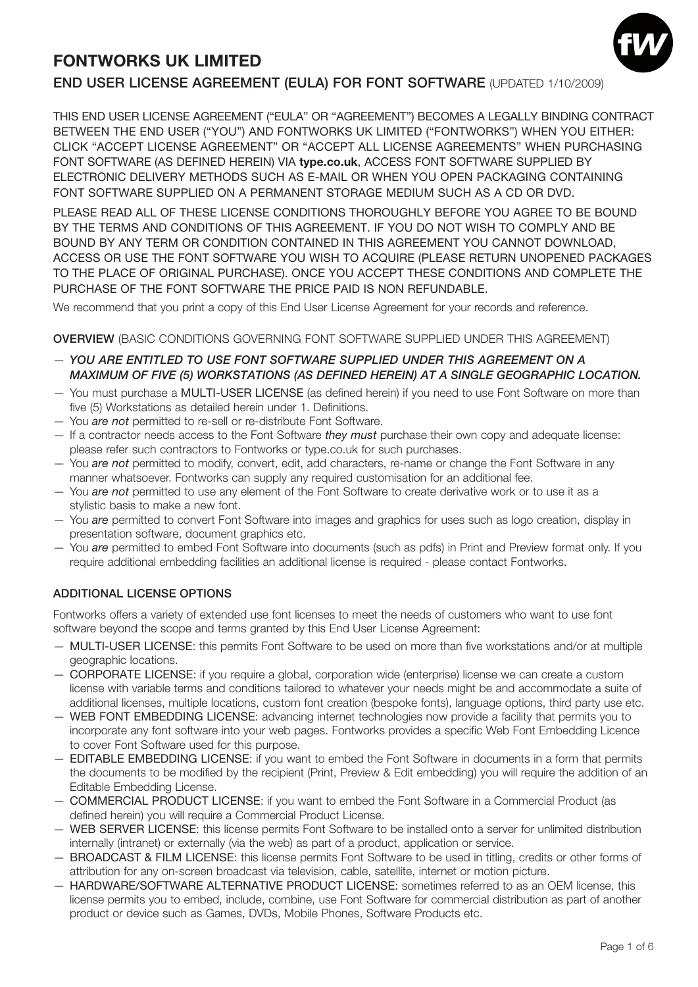# **FONTWORKS UK LIMITED**



# END USER LICENSE AGREEMENT (EULA) FOR FONT SOFTWARE (UPDATED 1/10/2009)

THIS END USER LICENSE AGREEMENT ("EULA" OR "AGREEMENT") BECOMES A LEGALLY BINDING CONTRACT BETWEEN THE END USER ("YOU") AND FONTWORKS UK LIMITED ("FONTWORKS") WHEN YOU EITHER: CLICK "ACCEPT LICENSE AGREEMENT" OR "ACCEPT ALL LICENSE AGREEMENTS" WHEN PURCHASING FONT SOFTWARE (AS DEFINED HEREIN) VIA **type.co.uk**, ACCESS FONT SOFTWARE SUPPLIED BY ELECTRONIC DELIVERY METHODS SUCH AS E-MAIL OR WHEN YOU OPEN PACKAGING CONTAINING FONT SOFTWARE SUPPLIED ON A PERMANENT STORAGE MEDIUM SUCH AS A CD OR DVD.

PLEASE READ ALL OF THESE LICENSE CONDITIONS THOROUGHLY BEFORE YOU AGREE TO BE BOUND BY THE TERMS AND CONDITIONS OF THIS AGREEMENT. IF YOU DO NOT WISH TO COMPLY AND BE BOUND BY ANY TERM OR CONDITION CONTAINED IN THIS AGREEMENT YOU CANNOT DOWNLOAD, ACCESS OR USE THE FONT SOFTWARE YOU WISH TO ACQUIRE (PLEASE RETURN UNOPENED PACKAGES TO THE PLACE OF ORIGINAL PURCHASE). ONCE YOU ACCEPT THESE CONDITIONS AND COMPLETE THE PURCHASE OF THE FONT SOFTWARE THE PRICE PAID IS NON REFUNDABLE.

We recommend that you print a copy of this End User License Agreement for your records and reference.

OVERVIEW (BASIC CONDITIONS GOVERNING FONT SOFTWARE SUPPLIED UNDER THIS AGREEMENT)

- **YOU ARE ENTITLED TO USE FONT SOFTWARE SUPPLIED UNDER THIS AGREEMENT ON A MAXIMUM OF FIVE (5) WORKSTATIONS (AS DEFINED HEREIN) AT A SINGLE GEOGRAPHIC LOCATION.**
- You must purchase a MULTI-USER LICENSE (as defined herein) if you need to use Font Software on more than five (5) Workstations as detailed herein under 1. Definitions.
- You *are not* permitted to re-sell or re-distribute Font Software.
- If a contractor needs access to the Font Software they must purchase their own copy and adequate license: please refer such contractors to Fontworks or type.co.uk for such purchases.
- You are not permitted to modify, convert, edit, add characters, re-name or change the Font Software in any manner whatsoever. Fontworks can supply any required customisation for an additional fee.
- You are not permitted to use any element of the Font Software to create derivative work or to use it as a stylistic basis to make a new font.
- You are permitted to convert Font Software into images and graphics for uses such as logo creation, display in presentation software, document graphics etc.
- You are permitted to embed Font Software into documents (such as pdfs) in Print and Preview format only. If you require additional embedding facilities an additional license is required - please contact Fontworks.

# ADDITIONAL LICENSE OPTIONS

Fontworks offers a variety of extended use font licenses to meet the needs of customers who want to use font software beyond the scope and terms granted by this End User License Agreement:

- MULTI-USER LICENSE: this permits Font Software to be used on more than five workstations and/or at multiple geographic locations.
- CORPORATE LICENSE: if you require a global, corporation wide (enterprise) license we can create a custom license with variable terms and conditions tailored to whatever your needs might be and accommodate a suite of additional licenses, multiple locations, custom font creation (bespoke fonts), language options, third party use etc.
- WEB FONT EMBEDDING LICENSE: advancing internet technologies now provide a facility that permits you to incorporate any font software into your web pages. Fontworks provides a specific Web Font Embedding Licence to cover Font Software used for this purpose.
- EDITABLE EMBEDDING LICENSE: if you want to embed the Font Software in documents in a form that permits the documents to be modified by the recipient (Print, Preview & Edit embedding) you will require the addition of an Editable Embedding License.
- COMMERCIAL PRODUCT LICENSE: if you want to embed the Font Software in a Commercial Product (as defined herein) you will require a Commercial Product License.
- WEB SERVER LICENSE: this license permits Font Software to be installed onto a server for unlimited distribution internally (intranet) or externally (via the web) as part of a product, application or service.
- BROADCAST & FILM LICENSE: this license permits Font Software to be used in titling, credits or other forms of attribution for any on-screen broadcast via television, cable, satellite, internet or motion picture.
- HARDWARE/SOFTWARE ALTERNATIVE PRODUCT LICENSE: sometimes referred to as an OEM license, this license permits you to embed, include, combine, use Font Software for commercial distribution as part of another product or device such as Games, DVDs, Mobile Phones, Software Products etc.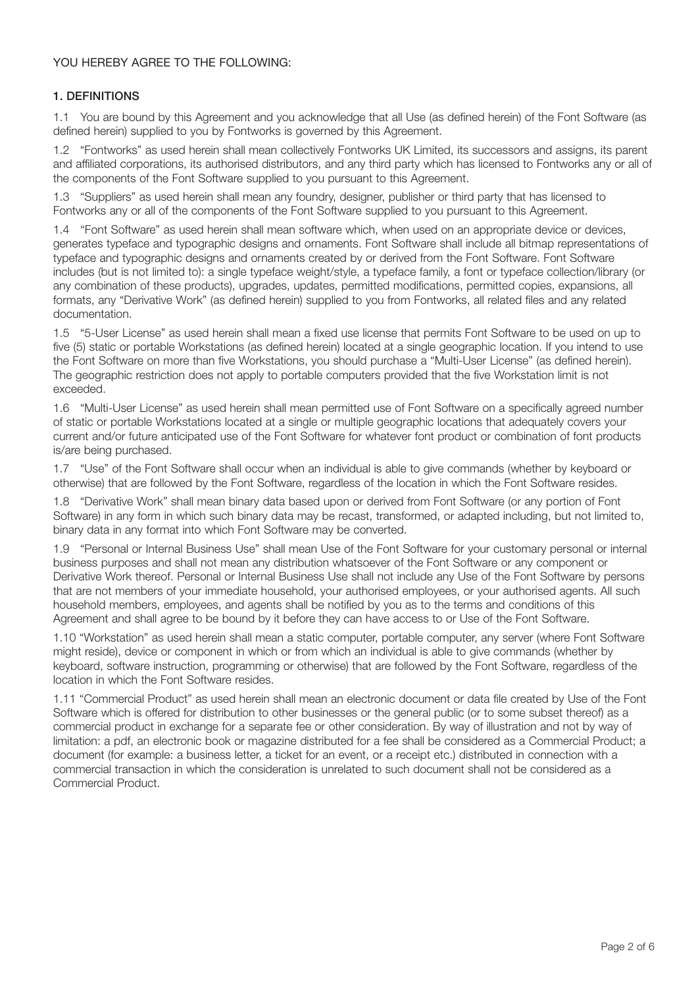# YOU HEREBY AGREE TO THE FOLLOWING:

# 1. DEFINITIONS

1.1 You are bound by this Agreement and you acknowledge that all Use (as defined herein) of the Font Software (as defined herein) supplied to you by Fontworks is governed by this Agreement.

1.2 "Fontworks" as used herein shall mean collectively Fontworks UK Limited, its successors and assigns, its parent and affiliated corporations, its authorised distributors, and any third party which has licensed to Fontworks any or all of the components of the Font Software supplied to you pursuant to this Agreement.

1.3 "Suppliers" as used herein shall mean any foundry, designer, publisher or third party that has licensed to Fontworks any or all of the components of the Font Software supplied to you pursuant to this Agreement.

1.4 "Font Software" as used herein shall mean software which, when used on an appropriate device or devices, generates typeface and typographic designs and ornaments. Font Software shall include all bitmap representations of typeface and typographic designs and ornaments created by or derived from the Font Software. Font Software includes (but is not limited to): a single typeface weight/style, a typeface family, a font or typeface collection/library (or any combination of these products), upgrades, updates, permitted modifications, permitted copies, expansions, all formats, any "Derivative Work" (as defined herein) supplied to you from Fontworks, all related files and any related documentation.

1.5 "5-User License" as used herein shall mean a fixed use license that permits Font Software to be used on up to five (5) static or portable Workstations (as defined herein) located at a single geographic location. If you intend to use the Font Software on more than five Workstations, you should purchase a "Multi-User License" (as defined herein). The geographic restriction does not apply to portable computers provided that the five Workstation limit is not exceeded.

1.6 "Multi-User License" as used herein shall mean permitted use of Font Software on a specifically agreed number of static or portable Workstations located at a single or multiple geographic locations that adequately covers your current and/or future anticipated use of the Font Software for whatever font product or combination of font products is/are being purchased.

1.7 "Use" of the Font Software shall occur when an individual is able to give commands (whether by keyboard or otherwise) that are followed by the Font Software, regardless of the location in which the Font Software resides.

1.8 "Derivative Work" shall mean binary data based upon or derived from Font Software (or any portion of Font Software) in any form in which such binary data may be recast, transformed, or adapted including, but not limited to, binary data in any format into which Font Software may be converted.

1.9 "Personal or Internal Business Use" shall mean Use of the Font Software for your customary personal or internal business purposes and shall not mean any distribution whatsoever of the Font Software or any component or Derivative Work thereof. Personal or Internal Business Use shall not include any Use of the Font Software by persons that are not members of your immediate household, your authorised employees, or your authorised agents. All such household members, employees, and agents shall be notified by you as to the terms and conditions of this Agreement and shall agree to be bound by it before they can have access to or Use of the Font Software.

1.10 "Workstation" as used herein shall mean a static computer, portable computer, any server (where Font Software might reside), device or component in which or from which an individual is able to give commands (whether by keyboard, software instruction, programming or otherwise) that are followed by the Font Software, regardless of the location in which the Font Software resides.

1.11 "Commercial Product" as used herein shall mean an electronic document or data file created by Use of the Font Software which is offered for distribution to other businesses or the general public (or to some subset thereof) as a commercial product in exchange for a separate fee or other consideration. By way of illustration and not by way of limitation: a pdf, an electronic book or magazine distributed for a fee shall be considered as a Commercial Product; a document (for example: a business letter, a ticket for an event, or a receipt etc.) distributed in connection with a commercial transaction in which the consideration is unrelated to such document shall not be considered as a Commercial Product.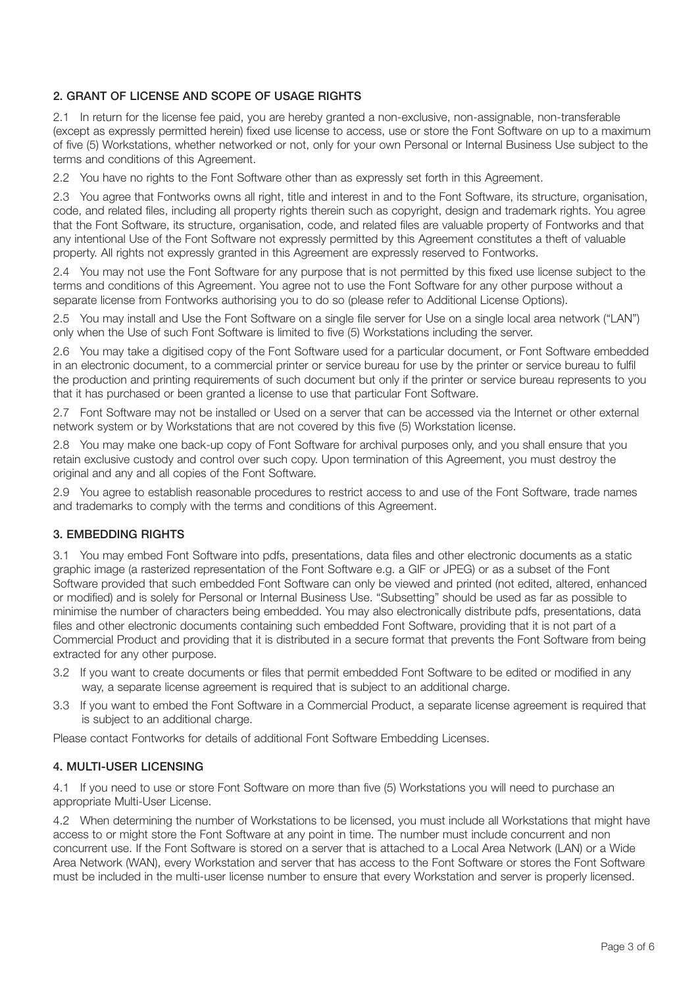# 2. GRANT OF LICENSE AND SCOPE OF USAGE RIGHTS

2.1 In return for the license fee paid, you are hereby granted a non-exclusive, non-assignable, non-transferable (except as expressly permitted herein) fixed use license to access, use or store the Font Software on up to a maximum of five (5) Workstations, whether networked or not, only for your own Personal or Internal Business Use subject to the terms and conditions of this Agreement.

2.2 You have no rights to the Font Software other than as expressly set forth in this Agreement.

2.3 You agree that Fontworks owns all right, title and interest in and to the Font Software, its structure, organisation, code, and related files, including all property rights therein such as copyright, design and trademark rights. You agree that the Font Software, its structure, organisation, code, and related files are valuable property of Fontworks and that any intentional Use of the Font Software not expressly permitted by this Agreement constitutes a theft of valuable property. All rights not expressly granted in this Agreement are expressly reserved to Fontworks.

2.4 You may not use the Font Software for any purpose that is not permitted by this fixed use license subject to the terms and conditions of this Agreement. You agree not to use the Font Software for any other purpose without a separate license from Fontworks authorising you to do so (please refer to Additional License Options).

2.5 You may install and Use the Font Software on a single file server for Use on a single local area network ("LAN") only when the Use of such Font Software is limited to five (5) Workstations including the server.

2.6 You may take a digitised copy of the Font Software used for a particular document, or Font Software embedded in an electronic document, to a commercial printer or service bureau for use by the printer or service bureau to fulfil the production and printing requirements of such document but only if the printer or service bureau represents to you that it has purchased or been granted a license to use that particular Font Software.

2.7 Font Software may not be installed or Used on a server that can be accessed via the Internet or other external network system or by Workstations that are not covered by this five (5) Workstation license.

2.8 You may make one back-up copy of Font Software for archival purposes only, and you shall ensure that you retain exclusive custody and control over such copy. Upon termination of this Agreement, you must destroy the original and any and all copies of the Font Software.

2.9 You agree to establish reasonable procedures to restrict access to and use of the Font Software, trade names and trademarks to comply with the terms and conditions of this Agreement.

#### 3. EMBEDDING RIGHTS

3.1 You may embed Font Software into pdfs, presentations, data files and other electronic documents as a static graphic image (a rasterized representation of the Font Software e.g. a GIF or JPEG) or as a subset of the Font Software provided that such embedded Font Software can only be viewed and printed (not edited, altered, enhanced or modified) and is solely for Personal or Internal Business Use. "Subsetting" should be used as far as possible to minimise the number of characters being embedded. You may also electronically distribute pdfs, presentations, data files and other electronic documents containing such embedded Font Software, providing that it is not part of a Commercial Product and providing that it is distributed in a secure format that prevents the Font Software from being extracted for any other purpose.

- 3.2 If you want to create documents or files that permit embedded Font Software to be edited or modified in any way, a separate license agreement is required that is subject to an additional charge.
- 3.3 If you want to embed the Font Software in a Commercial Product, a separate license agreement is required that is subject to an additional charge.

Please contact Fontworks for details of additional Font Software Embedding Licenses.

#### 4. MULTI-USER LICENSING

4.1 If you need to use or store Font Software on more than five (5) Workstations you will need to purchase an appropriate Multi-User License.

4.2 When determining the number of Workstations to be licensed, you must include all Workstations that might have access to or might store the Font Software at any point in time. The number must include concurrent and non concurrent use. If the Font Software is stored on a server that is attached to a Local Area Network (LAN) or a Wide Area Network (WAN), every Workstation and server that has access to the Font Software or stores the Font Software must be included in the multi-user license number to ensure that every Workstation and server is properly licensed.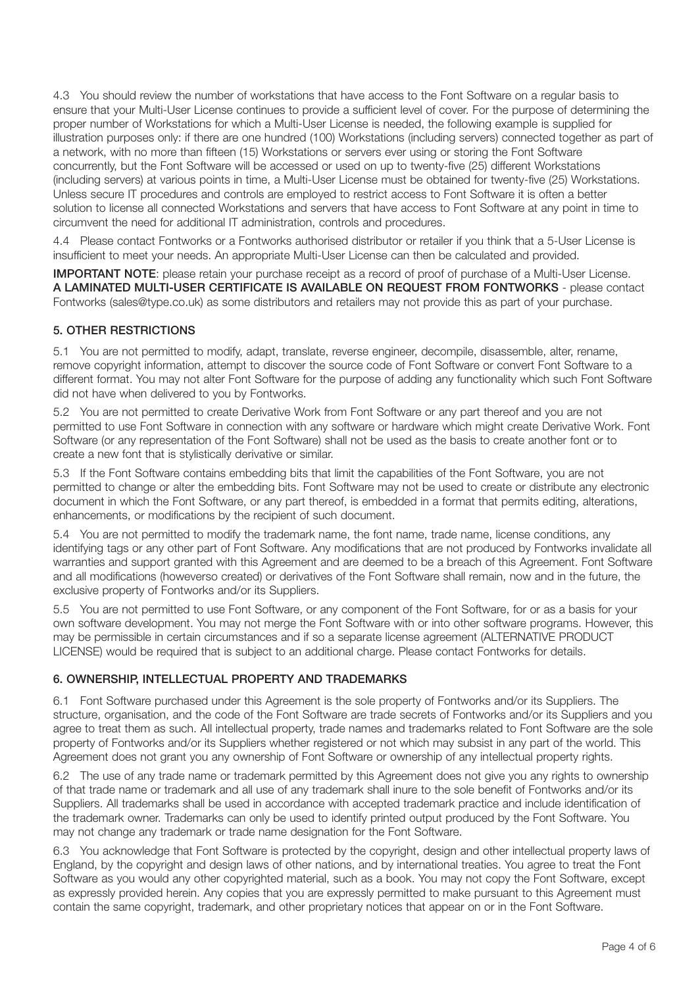4.3 You should review the number of workstations that have access to the Font Software on a regular basis to ensure that your Multi-User License continues to provide a sufficient level of cover. For the purpose of determining the proper number of Workstations for which a Multi-User License is needed, the following example is supplied for illustration purposes only: if there are one hundred (100) Workstations (including servers) connected together as part of a network, with no more than fifteen (15) Workstations or servers ever using or storing the Font Software concurrently, but the Font Software will be accessed or used on up to twenty-five (25) different Workstations (including servers) at various points in time, a Multi-User License must be obtained for twenty-five (25) Workstations. Unless secure IT procedures and controls are employed to restrict access to Font Software it is often a better solution to license all connected Workstations and servers that have access to Font Software at any point in time to circumvent the need for additional IT administration, controls and procedures.

4.4 Please contact Fontworks or a Fontworks authorised distributor or retailer if you think that a 5-User License is insufficient to meet your needs. An appropriate Multi-User License can then be calculated and provided.

**IMPORTANT NOTE:** please retain your purchase receipt as a record of proof of purchase of a Multi-User License. A LAMINATED MULTI-USER CERTIFICATE IS AVAILABLE ON REQUEST FROM FONTWORKS - please contact Fontworks (sales@type.co.uk) as some distributors and retailers may not provide this as part of your purchase.

# 5. OTHER RESTRICTIONS

5.1 You are not permitted to modify, adapt, translate, reverse engineer, decompile, disassemble, alter, rename, remove copyright information, attempt to discover the source code of Font Software or convert Font Software to a different format. You may not alter Font Software for the purpose of adding any functionality which such Font Software did not have when delivered to you by Fontworks.

5.2 You are not permitted to create Derivative Work from Font Software or any part thereof and you are not permitted to use Font Software in connection with any software or hardware which might create Derivative Work. Font Software (or any representation of the Font Software) shall not be used as the basis to create another font or to create a new font that is stylistically derivative or similar.

5.3 If the Font Software contains embedding bits that limit the capabilities of the Font Software, you are not permitted to change or alter the embedding bits. Font Software may not be used to create or distribute any electronic document in which the Font Software, or any part thereof, is embedded in a format that permits editing, alterations, enhancements, or modifications by the recipient of such document.

5.4 You are not permitted to modify the trademark name, the font name, trade name, license conditions, any identifying tags or any other part of Font Software. Any modifications that are not produced by Fontworks invalidate all warranties and support granted with this Agreement and are deemed to be a breach of this Agreement. Font Software and all modifications (howeverso created) or derivatives of the Font Software shall remain, now and in the future, the exclusive property of Fontworks and/or its Suppliers.

5.5 You are not permitted to use Font Software, or any component of the Font Software, for or as a basis for your own software development. You may not merge the Font Software with or into other software programs. However, this may be permissible in certain circumstances and if so a separate license agreement (ALTERNATIVE PRODUCT LICENSE) would be required that is subject to an additional charge. Please contact Fontworks for details.

# 6. OWNERSHIP, INTELLECTUAL PROPERTY AND TRADEMARKS

6.1 Font Software purchased under this Agreement is the sole property of Fontworks and/or its Suppliers. The structure, organisation, and the code of the Font Software are trade secrets of Fontworks and/or its Suppliers and you agree to treat them as such. All intellectual property, trade names and trademarks related to Font Software are the sole property of Fontworks and/or its Suppliers whether registered or not which may subsist in any part of the world. This Agreement does not grant you any ownership of Font Software or ownership of any intellectual property rights.

6.2 The use of any trade name or trademark permitted by this Agreement does not give you any rights to ownership of that trade name or trademark and all use of any trademark shall inure to the sole benefit of Fontworks and/or its Suppliers. All trademarks shall be used in accordance with accepted trademark practice and include identification of the trademark owner. Trademarks can only be used to identify printed output produced by the Font Software. You may not change any trademark or trade name designation for the Font Software.

6.3 You acknowledge that Font Software is protected by the copyright, design and other intellectual property laws of England, by the copyright and design laws of other nations, and by international treaties. You agree to treat the Font Software as you would any other copyrighted material, such as a book. You may not copy the Font Software, except as expressly provided herein. Any copies that you are expressly permitted to make pursuant to this Agreement must contain the same copyright, trademark, and other proprietary notices that appear on or in the Font Software.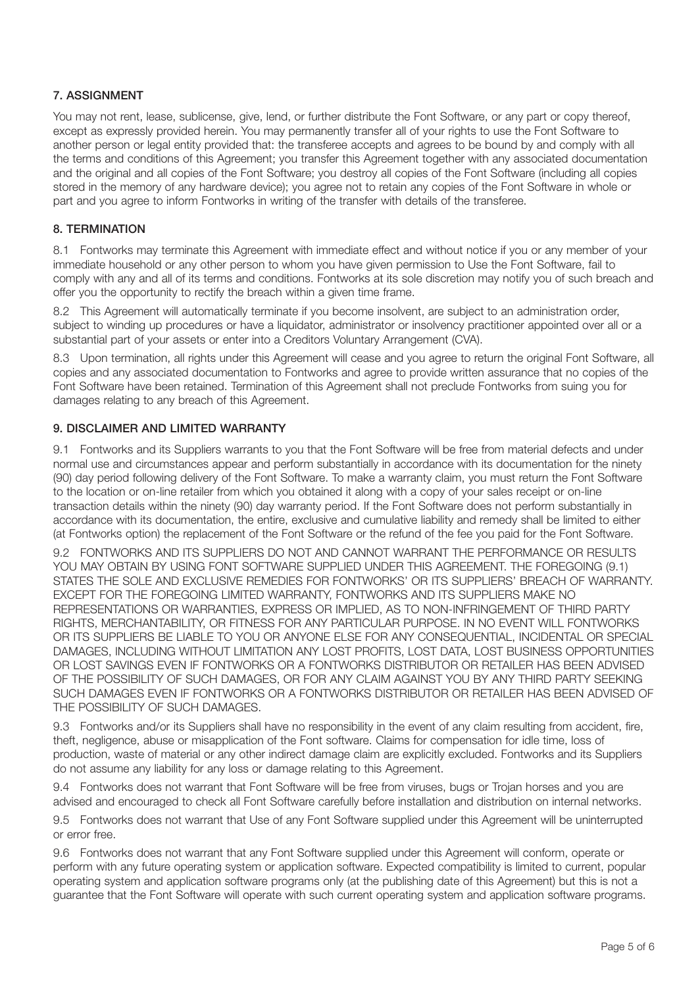# 7. ASSIGNMENT

You may not rent, lease, sublicense, give, lend, or further distribute the Font Software, or any part or copy thereof, except as expressly provided herein. You may permanently transfer all of your rights to use the Font Software to another person or legal entity provided that: the transferee accepts and agrees to be bound by and comply with all the terms and conditions of this Agreement; you transfer this Agreement together with any associated documentation and the original and all copies of the Font Software; you destroy all copies of the Font Software (including all copies stored in the memory of any hardware device); you agree not to retain any copies of the Font Software in whole or part and you agree to inform Fontworks in writing of the transfer with details of the transferee.

## 8. TERMINATION

8.1 Fontworks may terminate this Agreement with immediate effect and without notice if you or any member of your immediate household or any other person to whom you have given permission to Use the Font Software, fail to comply with any and all of its terms and conditions. Fontworks at its sole discretion may notify you of such breach and offer you the opportunity to rectify the breach within a given time frame.

8.2 This Agreement will automatically terminate if you become insolvent, are subject to an administration order, subject to winding up procedures or have a liquidator, administrator or insolvency practitioner appointed over all or a substantial part of your assets or enter into a Creditors Voluntary Arrangement (CVA).

8.3 Upon termination, all rights under this Agreement will cease and you agree to return the original Font Software, all copies and any associated documentation to Fontworks and agree to provide written assurance that no copies of the Font Software have been retained. Termination of this Agreement shall not preclude Fontworks from suing you for damages relating to any breach of this Agreement.

## 9. DISCLAIMER AND LIMITED WARRANTY

9.1 Fontworks and its Suppliers warrants to you that the Font Software will be free from material defects and under normal use and circumstances appear and perform substantially in accordance with its documentation for the ninety (90) day period following delivery of the Font Software. To make a warranty claim, you must return the Font Software to the location or on-line retailer from which you obtained it along with a copy of your sales receipt or on-line transaction details within the ninety (90) day warranty period. If the Font Software does not perform substantially in accordance with its documentation, the entire, exclusive and cumulative liability and remedy shall be limited to either (at Fontworks option) the replacement of the Font Software or the refund of the fee you paid for the Font Software.

9.2 FONTWORKS AND ITS SUPPLIERS DO NOT AND CANNOT WARRANT THE PERFORMANCE OR RESULTS YOU MAY OBTAIN BY USING FONT SOFTWARE SUPPLIED UNDER THIS AGREEMENT. THE FOREGOING (9.1) STATES THE SOLE AND EXCLUSIVE REMEDIES FOR FONTWORKS' OR ITS SUPPLIERS' BREACH OF WARRANTY. EXCEPT FOR THE FOREGOING LIMITED WARRANTY, FONTWORKS AND ITS SUPPLIERS MAKE NO REPRESENTATIONS OR WARRANTIES, EXPRESS OR IMPLIED, AS TO NON-INFRINGEMENT OF THIRD PARTY RIGHTS, MERCHANTABILITY, OR FITNESS FOR ANY PARTICULAR PURPOSE. IN NO EVENT WILL FONTWORKS OR ITS SUPPLIERS BE LIABLE TO YOU OR ANYONE ELSE FOR ANY CONSEQUENTIAL, INCIDENTAL OR SPECIAL DAMAGES, INCLUDING WITHOUT LIMITATION ANY LOST PROFITS, LOST DATA, LOST BUSINESS OPPORTUNITIES OR LOST SAVINGS EVEN IF FONTWORKS OR A FONTWORKS DISTRIBUTOR OR RETAILER HAS BEEN ADVISED OF THE POSSIBILITY OF SUCH DAMAGES, OR FOR ANY CLAIM AGAINST YOU BY ANY THIRD PARTY SEEKING SUCH DAMAGES EVEN IF FONTWORKS OR A FONTWORKS DISTRIBUTOR OR RETAILER HAS BEEN ADVISED OF THE POSSIBILITY OF SUCH DAMAGES.

9.3 Fontworks and/or its Suppliers shall have no responsibility in the event of any claim resulting from accident, fire, theft, negligence, abuse or misapplication of the Font software. Claims for compensation for idle time, loss of production, waste of material or any other indirect damage claim are explicitly excluded. Fontworks and its Suppliers do not assume any liability for any loss or damage relating to this Agreement.

9.4 Fontworks does not warrant that Font Software will be free from viruses, bugs or Trojan horses and you are advised and encouraged to check all Font Software carefully before installation and distribution on internal networks.

9.5 Fontworks does not warrant that Use of any Font Software supplied under this Agreement will be uninterrupted or error free.

9.6 Fontworks does not warrant that any Font Software supplied under this Agreement will conform, operate or perform with any future operating system or application software. Expected compatibility is limited to current, popular operating system and application software programs only (at the publishing date of this Agreement) but this is not a guarantee that the Font Software will operate with such current operating system and application software programs.